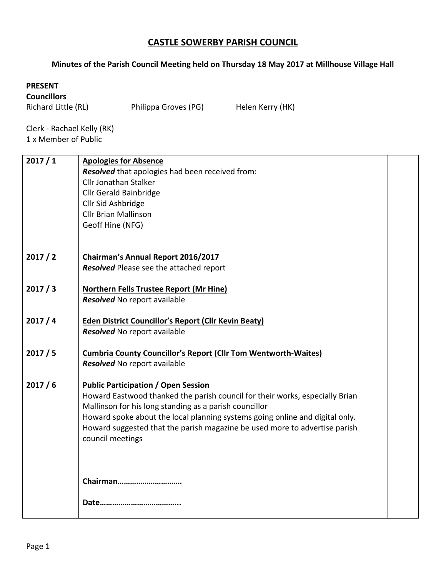## **CASTLE SOWERBY PARISH COUNCIL**

## **Minutes of the Parish Council Meeting held on Thursday 18 May 2017 at Millhouse Village Hall**

## **PRESENT**

**Councillors**

Richard Little (RL) Philippa Groves (PG) Helen Kerry (HK)

Clerk - Rachael Kelly (RK) 1 x Member of Public

| 2017/1 | <b>Apologies for Absence</b>                                                 |  |
|--------|------------------------------------------------------------------------------|--|
|        | Resolved that apologies had been received from:                              |  |
|        | Cllr Jonathan Stalker                                                        |  |
|        | <b>Cllr Gerald Bainbridge</b>                                                |  |
|        | Cllr Sid Ashbridge                                                           |  |
|        | <b>Cllr Brian Mallinson</b>                                                  |  |
|        | Geoff Hine (NFG)                                                             |  |
|        |                                                                              |  |
| 2017/2 | Chairman's Annual Report 2016/2017                                           |  |
|        | Resolved Please see the attached report                                      |  |
|        |                                                                              |  |
| 2017/3 | <b>Northern Fells Trustee Report (Mr Hine)</b>                               |  |
|        | Resolved No report available                                                 |  |
|        |                                                                              |  |
| 2017/4 | <b>Eden District Councillor's Report (Cllr Kevin Beaty)</b>                  |  |
|        | Resolved No report available                                                 |  |
|        |                                                                              |  |
| 2017/5 | <b>Cumbria County Councillor's Report (Cllr Tom Wentworth-Waites)</b>        |  |
|        | Resolved No report available                                                 |  |
| 2017/6 | <b>Public Participation / Open Session</b>                                   |  |
|        | Howard Eastwood thanked the parish council for their works, especially Brian |  |
|        | Mallinson for his long standing as a parish councillor                       |  |
|        | Howard spoke about the local planning systems going online and digital only. |  |
|        | Howard suggested that the parish magazine be used more to advertise parish   |  |
|        | council meetings                                                             |  |
|        |                                                                              |  |
|        |                                                                              |  |
|        |                                                                              |  |
|        | Chairman                                                                     |  |
|        |                                                                              |  |
|        | Date                                                                         |  |
|        |                                                                              |  |